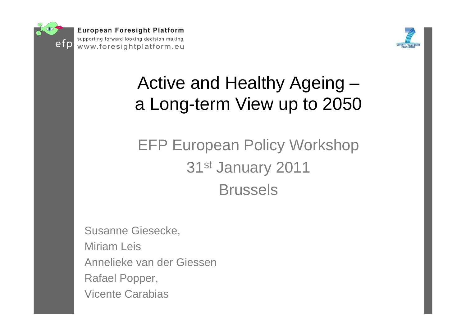



## Active and Healthy Ageing – a Long-term View up to 2050

## EFP European Policy Workshop 31st January 2011 Brussels

Susanne Giesecke, Miriam Leis Annelieke van der GiessenRafael Popper, Vicente Carabias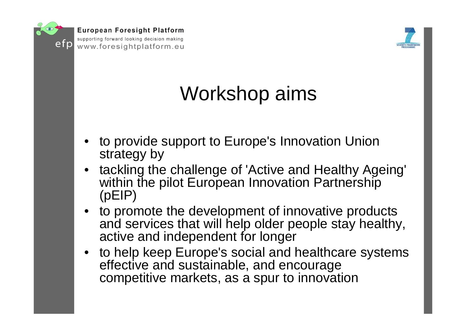

**European Foresight Platform** 

supporting forward looking decision making www.foresightplatform.eu



# Workshop aims

- • to provide support to Europe's Innovation Union strategy by
- • tackling the challenge of 'Active and Healthy Ageing' within the pilot European Innovation Partnership (pEIP)
- • to promote the development of innovative products and services that will help older people stay healthy, active and independent for longer
- • to help keep Europe's social and healthcare systems effective and sustainable, and encourage competitive markets, as a spur to innovation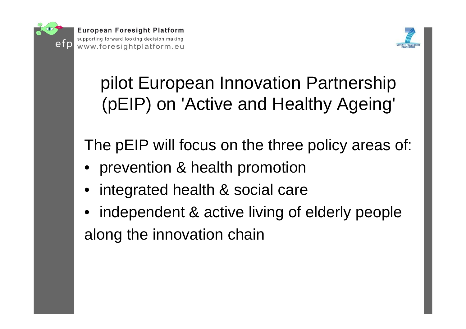



# pilot European Innovation Partnership (pEIP) on 'Active and Healthy Ageing'

The pEIP will focus on the three policy areas of:

- •prevention & health promotion
- •integrated health & social care
- • independent & active living of elderly people along the innovation chain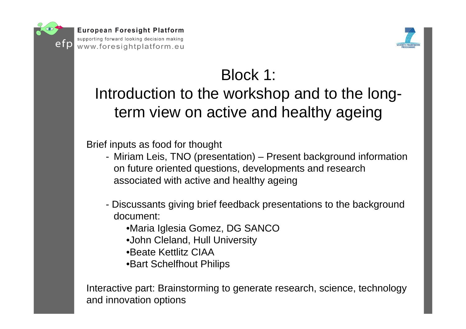



## Block 1:

### Introduction to the workshop and to the longterm view on active and healthy ageing

Brief inputs as food for thought

- Miriam Leis, TNO (presentation) Present background information on future oriented questions, developments and research associated with active and healthy ageing
- Discussants giving brief feedback presentations to the background document:
	- •Maria Iglesia Gomez, DG SANCO
	- •John Cleland, Hull University
	- •Beate Kettlitz CIAA
	- •Bart Schelfhout Philips

Interactive part: Brainstorming to generate research, science, technology and innovation options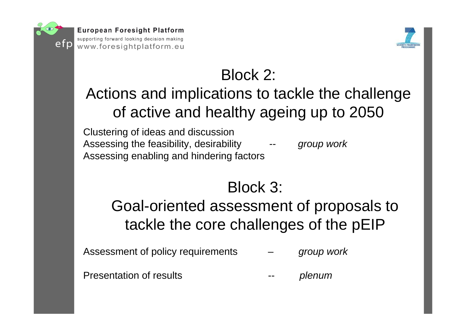



## Block 2:

### Actions and implications to tackle the challenge of active and healthy ageing up to 2050

Clustering of ideas and discussion Assessing the feasibility, desirability *-- group work* Assessing enabling and hindering factors

### Block 3:

### Goal-oriented assessment of proposals to tackle the core challenges of the pEIP

Assessment of policy requirements – *group work*

Presentation of results

*plenum*